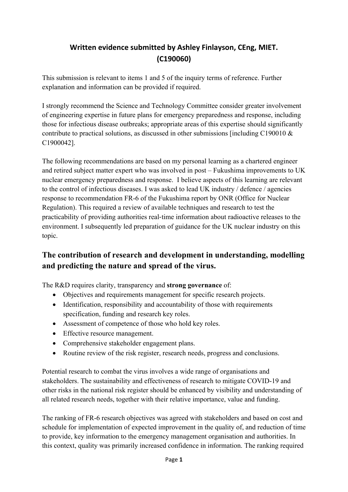## **Written evidence submitted by Ashley Finlayson, CEng, MIET. (C190060)**

This submission is relevant to items 1 and 5 of the inquiry terms of reference. Further explanation and information can be provided if required.

I strongly recommend the Science and Technology Committee consider greater involvement of engineering expertise in future plans for emergency preparedness and response, including those for infectious disease outbreaks; appropriate areas of this expertise should significantly contribute to practical solutions, as discussed in other submissions [including C190010  $\&$ C1900042].

The following recommendations are based on my personal learning as a chartered engineer and retired subject matter expert who was involved in post – Fukushima improvements to UK nuclear emergency preparedness and response. I believe aspects of this learning are relevant to the control of infectious diseases. I was asked to lead UK industry / defence / agencies response to recommendation FR-6 of the Fukushima report by ONR (Office for Nuclear Regulation). This required a review of available techniques and research to test the practicability of providing authorities real‐time information about radioactive releases to the environment. I subsequently led preparation of guidance for the UK nuclear industry on this topic.

## **The contribution of research and development in understanding, modelling and predicting the nature and spread of the virus.**

The R&D requires clarity, transparency and **strong governance** of:

- Objectives and requirements management for specific research projects.
- Identification, responsibility and accountability of those with requirements specification, funding and research key roles.
- Assessment of competence of those who hold key roles.
- Effective resource management.
- Comprehensive stakeholder engagement plans.
- Routine review of the risk register, research needs, progress and conclusions.

Potential research to combat the virus involves a wide range of organisations and stakeholders. The sustainability and effectiveness of research to mitigate COVID-19 and other risks in the national risk register should be enhanced by visibility and understanding of all related research needs, together with their relative importance, value and funding.

The ranking of FR-6 research objectives was agreed with stakeholders and based on cost and schedule for implementation of expected improvement in the quality of, and reduction of time to provide, key information to the emergency management organisation and authorities. In this context, quality was primarily increased confidence in information. The ranking required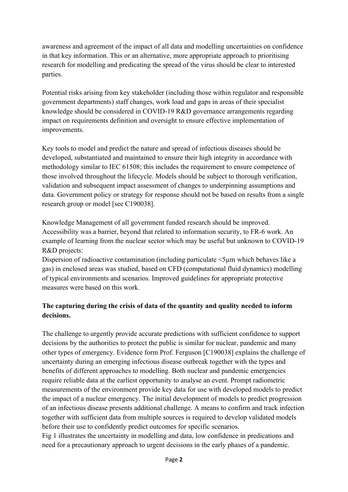awareness and agreement of the impact of all data and modelling uncertainties on confidence in that key information. This or an alternative, more appropriate approach to prioritising research for modelling and predicating the spread of the virus should be clear to interested parties.

Potential risks arising from key stakeholder (including those within regulator and responsible government departments) staff changes, work load and gaps in areas of their specialist knowledge should be considered in COVID-19 R&D governance arrangements regarding impact on requirements definition and oversight to ensure effective implementation of improvements.

Key tools to model and predict the nature and spread of infectious diseases should be developed, substantiated and maintained to ensure their high integrity in accordance with methodology similar to IEC 61508; this includes the requirement to ensure competence of those involved throughout the lifecycle. Models should be subject to thorough verification, validation and subsequent impact assessment of changes to underpinning assumptions and data. Government policy or strategy for response should not be based on results from a single research group or model [see C190038].

Knowledge Management of all government funded research should be improved. Accessibility was a barrier, beyond that related to information security, to FR-6 work. An example of learning from the nuclear sector which may be useful but unknown to COVID-19 R&D projects:

Dispersion of radioactive contamination (including particulate  $\leq$ 5µm which behaves like a gas) in enclosed areas was studied, based on CFD (computational fluid dynamics) modelling of typical environments and scenarios. Improved guidelines for appropriate protective measures were based on this work.

## **The capturing during the crisis of data of the quantity and quality needed to inform decisions.**

The challenge to urgently provide accurate predictions with sufficient confidence to support decisions by the authorities to protect the public is similar for nuclear, pandemic and many other types of emergency. Evidence form Prof. Ferguson [C190038] explains the challenge of uncertainty during an emerging infectious disease outbreak together with the types and benefits of different approaches to modelling. Both nuclear and pandemic emergencies require reliable data at the earliest opportunity to analyse an event. Prompt radiometric measurements of the environment provide key data for use with developed models to predict the impact of a nuclear emergency. The initial development of models to predict progression of an infectious disease presents additional challenge. A means to confirm and track infection together with sufficient data from multiple sources is required to develop validated models before their use to confidently predict outcomes for specific scenarios.

Fig 1 illustrates the uncertainty in modelling and data, low confidence in predications and need for a precautionary approach to urgent decisions in the early phases of a pandemic.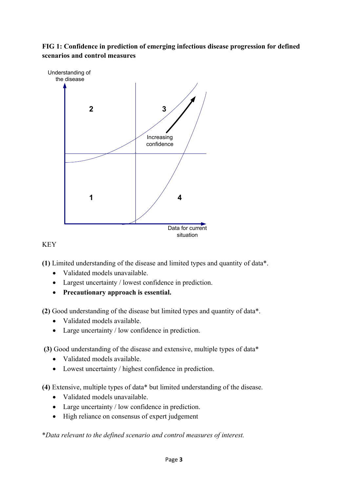**FIG 1: Confidence in prediction of emerging infectious disease progression for defined scenarios and control measures**



## KEY

**(1)** Limited understanding of the disease and limited types and quantity of data\*.

- Validated models unavailable.
- Largest uncertainty / lowest confidence in prediction.
- **Precautionary approach is essential.**

**(2)** Good understanding of the disease but limited types and quantity of data\*.

- Validated models available.
- Large uncertainty / low confidence in prediction.

**(3)** Good understanding of the disease and extensive, multiple types of data\*

- Validated models available.
- Lowest uncertainty / highest confidence in prediction.

**(4)** Extensive, multiple types of data\* but limited understanding of the disease.

- Validated models unavailable.
- Large uncertainty / low confidence in prediction.
- High reliance on consensus of expert judgement

\**Data relevant to the defined scenario and control measures of interest.*